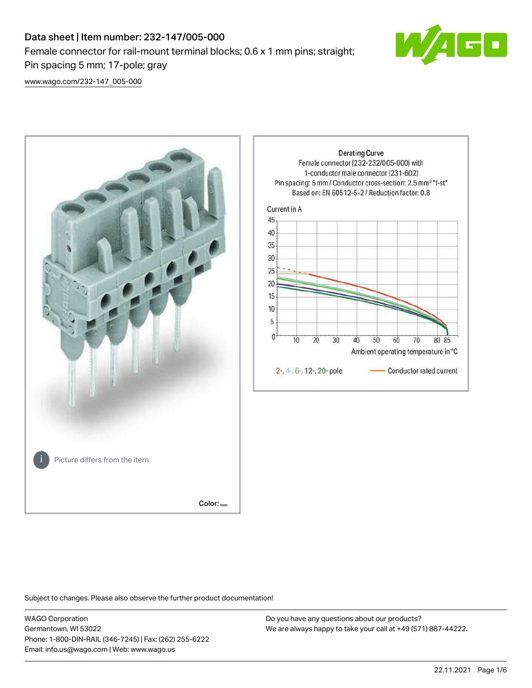# Data sheet | Item number: 232-147/005-000 Female connector for rail-mount terminal blocks; 0.6 x 1 mm pins; straight; Pin spacing 5 mm; 17-pole; gray



[www.wago.com/232-147\\_005-000](http://www.wago.com/232-147_005-000)



Subject to changes. Please also observe the further product documentation!

WAGO Corporation Germantown, WI 53022 Phone: 1-800-DIN-RAIL (346-7245) | Fax: (262) 255-6222 Email: info.us@wago.com | Web: www.wago.us

Do you have any questions about our products? We are always happy to take your call at +49 (571) 887-44222.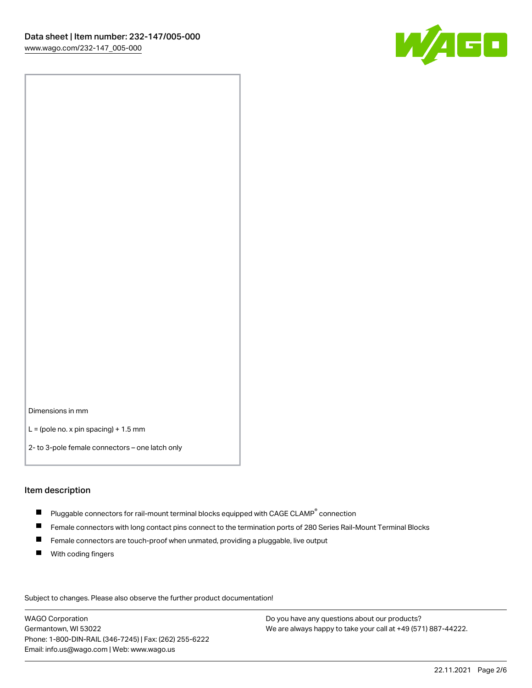

Dimensions in mm

 $L =$  (pole no. x pin spacing) + 1.5 mm

2- to 3-pole female connectors – one latch only

#### Item description

- $\blacksquare$  Pluggable connectors for rail-mount terminal blocks equipped with CAGE CLAMP $^\circ$  connection
- Female connectors with long contact pins connect to the termination ports of 280 Series Rail-Mount Terminal Blocks
- $\blacksquare$ Female connectors are touch-proof when unmated, providing a pluggable, live output
- $\blacksquare$ With coding fingers

Subject to changes. Please also observe the further product documentation! Data

WAGO Corporation Germantown, WI 53022 Phone: 1-800-DIN-RAIL (346-7245) | Fax: (262) 255-6222 Email: info.us@wago.com | Web: www.wago.us

Do you have any questions about our products? We are always happy to take your call at +49 (571) 887-44222.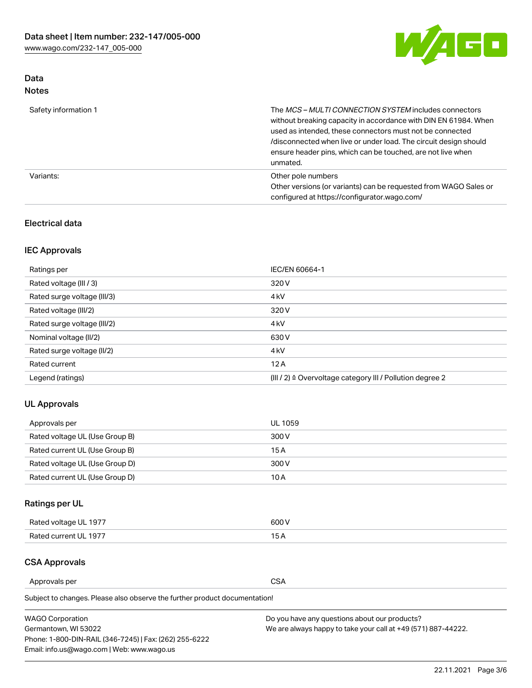

## Data Notes

| Safety information 1 | The MCS-MULTI CONNECTION SYSTEM includes connectors<br>without breaking capacity in accordance with DIN EN 61984. When<br>used as intended, these connectors must not be connected<br>/disconnected when live or under load. The circuit design should<br>ensure header pins, which can be touched, are not live when<br>unmated. |
|----------------------|-----------------------------------------------------------------------------------------------------------------------------------------------------------------------------------------------------------------------------------------------------------------------------------------------------------------------------------|
| Variants:            | Other pole numbers<br>Other versions (or variants) can be requested from WAGO Sales or<br>configured at https://configurator.wago.com/                                                                                                                                                                                            |

## Electrical data

## IEC Approvals

| Ratings per                 | IEC/EN 60664-1                                                        |
|-----------------------------|-----------------------------------------------------------------------|
| Rated voltage (III / 3)     | 320 V                                                                 |
| Rated surge voltage (III/3) | 4 <sub>k</sub> V                                                      |
| Rated voltage (III/2)       | 320 V                                                                 |
| Rated surge voltage (III/2) | 4 <sub>k</sub> V                                                      |
| Nominal voltage (II/2)      | 630 V                                                                 |
| Rated surge voltage (II/2)  | 4 <sub>k</sub> V                                                      |
| Rated current               | 12A                                                                   |
| Legend (ratings)            | $(III / 2)$ $\triangle$ Overvoltage category III / Pollution degree 2 |

## UL Approvals

| Approvals per                  | UL 1059 |
|--------------------------------|---------|
| Rated voltage UL (Use Group B) | 300 V   |
| Rated current UL (Use Group B) | 15 A    |
| Rated voltage UL (Use Group D) | 300 V   |
| Rated current UL (Use Group D) | 10 A    |

# Ratings per UL

| Rated voltage UL 1977 | 300 V |
|-----------------------|-------|
| Rated current UL 1977 |       |

### CSA Approvals

Approvals per CSA

Subject to changes. Please also observe the further product documentation!

| <b>WAGO Corporation</b>                                | Do you have any questions about our products?                 |
|--------------------------------------------------------|---------------------------------------------------------------|
| Germantown, WI 53022                                   | We are always happy to take your call at +49 (571) 887-44222. |
| Phone: 1-800-DIN-RAIL (346-7245)   Fax: (262) 255-6222 |                                                               |
| Email: info.us@wago.com   Web: www.wago.us             |                                                               |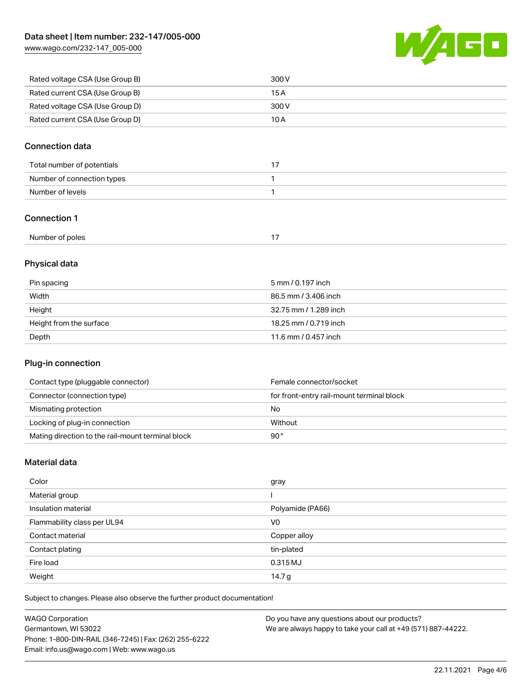[www.wago.com/232-147\\_005-000](http://www.wago.com/232-147_005-000)



| Rated voltage CSA (Use Group B) | 300 V |
|---------------------------------|-------|
| Rated current CSA (Use Group B) | 15 A  |
| Rated voltage CSA (Use Group D) | 300 V |
| Rated current CSA (Use Group D) | 10 A  |

## Connection data

| Total number of potentials |  |
|----------------------------|--|
| Number of connection types |  |
| Number of levels           |  |

## Connection 1

| Number of poles |  |
|-----------------|--|
|-----------------|--|

## Physical data

| Pin spacing             | 5 mm / 0.197 inch     |
|-------------------------|-----------------------|
| Width                   | 86.5 mm / 3.406 inch  |
| Height                  | 32.75 mm / 1.289 inch |
| Height from the surface | 18.25 mm / 0.719 inch |
| Depth                   | 11.6 mm / 0.457 inch  |

## Plug-in connection

| Contact type (pluggable connector)                | Female connector/socket                   |
|---------------------------------------------------|-------------------------------------------|
| Connector (connection type)                       | for front-entry rail-mount terminal block |
| Mismating protection                              | No                                        |
| Locking of plug-in connection                     | Without                                   |
| Mating direction to the rail-mount terminal block | 90°                                       |

#### Material data

| Color                       | gray             |
|-----------------------------|------------------|
| Material group              |                  |
| Insulation material         | Polyamide (PA66) |
| Flammability class per UL94 | V <sub>0</sub>   |
| Contact material            | Copper alloy     |
| Contact plating             | tin-plated       |
| Fire load                   | 0.315 MJ         |
| Weight                      | 14.7 g           |

Subject to changes. Please also observe the further product documentation!

| <b>WAGO Corporation</b>                                | Do you have any questions about our products?                 |
|--------------------------------------------------------|---------------------------------------------------------------|
| Germantown, WI 53022                                   | We are always happy to take your call at +49 (571) 887-44222. |
| Phone: 1-800-DIN-RAIL (346-7245)   Fax: (262) 255-6222 |                                                               |
| Email: info.us@wago.com   Web: www.wago.us             |                                                               |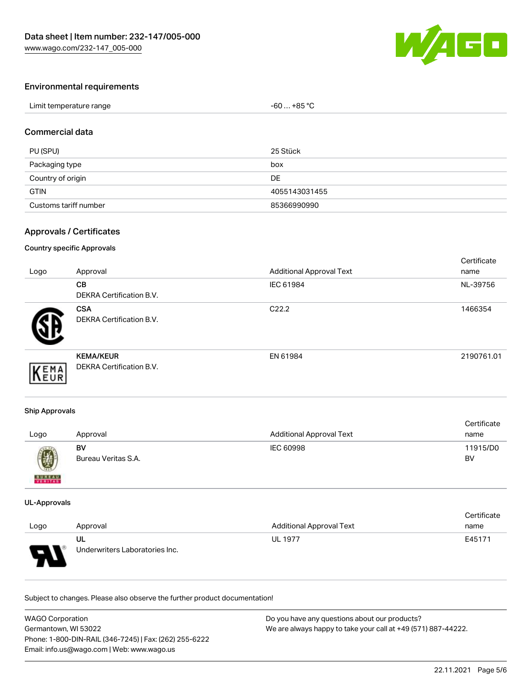

# Environmental requirements

| Limit temperature range | $-60+85 °C$ |
|-------------------------|-------------|
|-------------------------|-------------|

## Commercial data

| PU (SPU)              | 25 Stück      |
|-----------------------|---------------|
| Packaging type        | box           |
| Country of origin     | <b>DE</b>     |
| <b>GTIN</b>           | 4055143031455 |
| Customs tariff number | 85366990990   |

#### Approvals / Certificates

#### Country specific Approvals

| Logo | Approval                                     | <b>Additional Approval Text</b> | Certificate<br>name |
|------|----------------------------------------------|---------------------------------|---------------------|
|      | CB<br><b>DEKRA Certification B.V.</b>        | IEC 61984                       | NL-39756            |
|      | <b>CSA</b><br>DEKRA Certification B.V.       | C <sub>22.2</sub>               | 1466354             |
| EMA  | <b>KEMA/KEUR</b><br>DEKRA Certification B.V. | EN 61984                        | 2190761.01          |

#### Ship Approvals

| Logo          | Approval            | Additional Approval Text | Certificate<br>name |
|---------------|---------------------|--------------------------|---------------------|
| $\bigcirc$    | BV                  | IEC 60998                | 11915/D0            |
| <b>BUREAU</b> | Bureau Veritas S.A. |                          | <b>BV</b>           |

#### UL-Approvals

|                                                                |                                      |                          | Certificate |
|----------------------------------------------------------------|--------------------------------------|--------------------------|-------------|
| Logo                                                           | Approval                             | Additional Approval Text | name        |
| $\Box$<br>$\overline{\phantom{a}}$<br>$\overline{\phantom{a}}$ | UL<br>Underwriters Laboratories Inc. | <b>UL 1977</b>           | E45171      |

Subject to changes. Please also observe the further product documentation!

| WAGO Corporation                                       | Do you have any questions about our products?                 |  |
|--------------------------------------------------------|---------------------------------------------------------------|--|
| Germantown, WI 53022                                   | We are always happy to take your call at +49 (571) 887-44222. |  |
| Phone: 1-800-DIN-RAIL (346-7245)   Fax: (262) 255-6222 |                                                               |  |
| Email: info.us@wago.com   Web: www.wago.us             |                                                               |  |